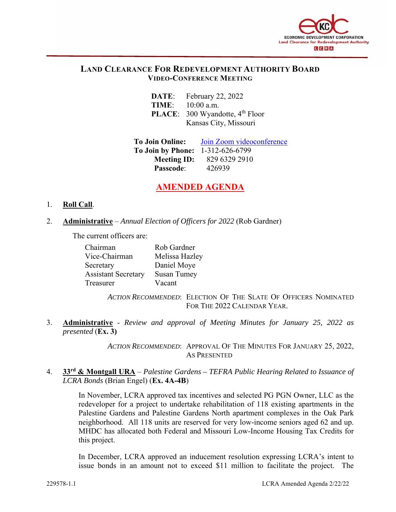

# **LAND CLEARANCE FOR REDEVELOPMENT AUTHORITY BOARD VIDEO-CONFERENCE MEETING**

| DATE: | February 22, 2022 |
|-------|-------------------|
| TIME: | $10:00$ a.m.      |

**PLACE:** 300 Wyandotte, 4<sup>th</sup> Floor Kansas City, Missouri

**To Join Online:** Join Zoom videoconference **To Join by Phone:** 1-312-626-6799 **Meeting ID:** 829 6329 2910 **Passcode**: 426939

# **AMENDED AGENDA**

### 1. **Roll Call**.

2. **Administrative** – *Annual Election of Officers for 2022* (Rob Gardner)

The current officers are:

| Chairman                   | Rob Gardner        |
|----------------------------|--------------------|
| Vice-Chairman              | Melissa Hazley     |
| Secretary                  | Daniel Moye        |
| <b>Assistant Secretary</b> | <b>Susan Tumey</b> |
| Treasurer                  | Vacant             |

*ACTION RECOMMENDED*: ELECTION OF THE SLATE OF OFFICERS NOMINATED FOR THE 2022 CALENDAR YEAR.

3. **Administrative** - *Review and approval of Meeting Minutes for January 25, 2022 as presented* (**Ex. 3)**

> *ACTION RECOMMENDED*: APPROVAL OF THE MINUTES FOR JANUARY 25, 2022, AS PRESENTED

4. **33rd & Montgall URA** – *Palestine Gardens – TEFRA Public Hearing Related to Issuance of LCRA Bonds* (Brian Engel) (**Ex. 4A-4B**)

> In November, LCRA approved tax incentives and selected PG PGN Owner, LLC as the redeveloper for a project to undertake rehabilitation of 118 existing apartments in the Palestine Gardens and Palestine Gardens North apartment complexes in the Oak Park neighborhood. All 118 units are reserved for very low-income seniors aged 62 and up. MHDC has allocated both Federal and Missouri Low-Income Housing Tax Credits for this project.

> In December, LCRA approved an inducement resolution expressing LCRA's intent to issue bonds in an amount not to exceed \$11 million to facilitate the project. The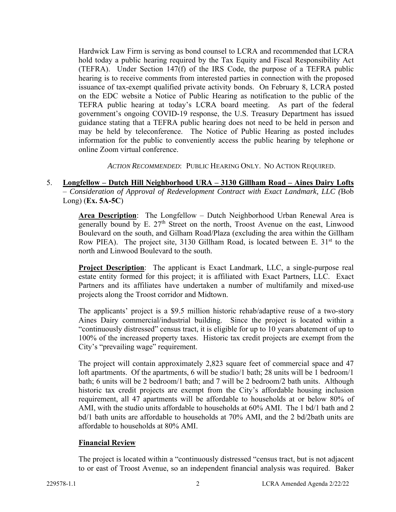Hardwick Law Firm is serving as bond counsel to LCRA and recommended that LCRA hold today a public hearing required by the Tax Equity and Fiscal Responsibility Act (TEFRA). Under Section 147(f) of the IRS Code, the purpose of a TEFRA public hearing is to receive comments from interested parties in connection with the proposed issuance of tax-exempt qualified private activity bonds. On February 8, LCRA posted on the EDC website a Notice of Public Hearing as notification to the public of the TEFRA public hearing at today's LCRA board meeting. As part of the federal government's ongoing COVID-19 response, the U.S. Treasury Department has issued guidance stating that a TEFRA public hearing does not need to be held in person and may be held by teleconference. The Notice of Public Hearing as posted includes information for the public to conveniently access the public hearing by telephone or online Zoom virtual conference.

*ACTION RECOMMENDED*: PUBLIC HEARING ONLY. NO ACTION REQUIRED.

5. **Longfellow – Dutch Hill Neighborhood URA – 3130 Gillham Road – Aines Dairy Lofts** – *Consideration of Approval of Redevelopment Contract with Exact Landmark, LLC (*Bob Long) (**Ex. 5A-5C**)

> **Area Description**: The Longfellow – Dutch Neighborhood Urban Renewal Area is generally bound by E.  $27<sup>th</sup>$  Street on the north, Troost Avenue on the east, Linwood Boulevard on the south, and Gilham Road/Plaza (excluding the area within the Gillham Row PIEA). The project site, 3130 Gillham Road, is located between E.  $31<sup>st</sup>$  to the north and Linwood Boulevard to the south.

> **Project Description**: The applicant is Exact Landmark, LLC, a single-purpose real estate entity formed for this project; it is affiliated with Exact Partners, LLC. Exact Partners and its affiliates have undertaken a number of multifamily and mixed-use projects along the Troost corridor and Midtown.

> The applicants' project is a \$9.5 million historic rehab/adaptive reuse of a two-story Aines Dairy commercial/industrial building. Since the project is located within a "continuously distressed" census tract, it is eligible for up to 10 years abatement of up to 100% of the increased property taxes. Historic tax credit projects are exempt from the City's "prevailing wage" requirement.

> The project will contain approximately 2,823 square feet of commercial space and 47 loft apartments. Of the apartments, 6 will be studio/1 bath; 28 units will be 1 bedroom/1 bath; 6 units will be 2 bedroom/1 bath; and 7 will be 2 bedroom/2 bath units. Although historic tax credit projects are exempt from the City's affordable housing inclusion requirement, all 47 apartments will be affordable to households at or below 80% of AMI, with the studio units affordable to households at 60% AMI. The 1 bd/1 bath and 2 bd/1 bath units are affordable to households at 70% AMI, and the 2 bd/2bath units are affordable to households at 80% AMI.

# **Financial Review**

The project is located within a "continuously distressed "census tract, but is not adjacent to or east of Troost Avenue, so an independent financial analysis was required. Baker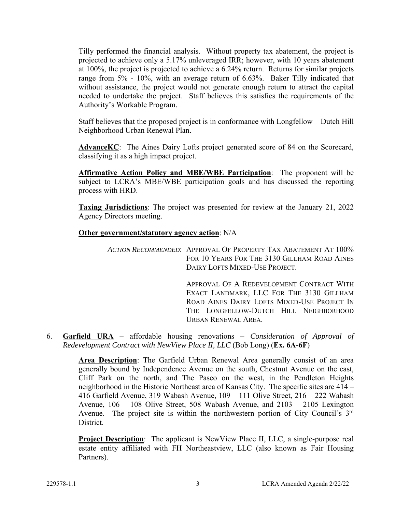Tilly performed the financial analysis. Without property tax abatement, the project is projected to achieve only a 5.17% unleveraged IRR; however, with 10 years abatement at 100%, the project is projected to achieve a 6.24% return. Returns for similar projects range from 5% - 10%, with an average return of 6.63%. Baker Tilly indicated that without assistance, the project would not generate enough return to attract the capital needed to undertake the project. Staff believes this satisfies the requirements of the Authority's Workable Program.

Staff believes that the proposed project is in conformance with Longfellow – Dutch Hill Neighborhood Urban Renewal Plan.

AdvanceKC: The Aines Dairy Lofts project generated score of 84 on the Scorecard, classifying it as a high impact project.

**Affirmative Action Policy and MBE/WBE Participation**: The proponent will be subject to LCRA's MBE/WBE participation goals and has discussed the reporting process with HRD.

**Taxing Jurisdictions**: The project was presented for review at the January 21, 2022 Agency Directors meeting.

#### **Other government/statutory agency action**: N/A

*ACTION RECOMMENDED*: APPROVAL OF PROPERTY TAX ABATEMENT AT 100% FOR 10 YEARS FOR THE 3130 GILLHAM ROAD AINES DAIRY LOFTS MIXED-USE PROJECT.

> APPROVAL OF A REDEVELOPMENT CONTRACT WITH EXACT LANDMARK, LLC FOR THE 3130 GILLHAM ROAD AINES DAIRY LOFTS MIXED-USE PROJECT IN THE LONGFELLOW-DUTCH HILL NEIGHBORHOOD URBAN RENEWAL AREA.

6. **Garfield URA** – affordable housing renovations *– Consideration of Approval of Redevelopment Contract with NewView Place II, LLC* (Bob Long) (**Ex. 6A-6F**)

> **Area Description**: The Garfield Urban Renewal Area generally consist of an area generally bound by Independence Avenue on the south, Chestnut Avenue on the east, Cliff Park on the north, and The Paseo on the west, in the Pendleton Heights neighborhood in the Historic Northeast area of Kansas City. The specific sites are 414 – 416 Garfield Avenue, 319 Wabash Avenue, 109 – 111 Olive Street, 216 – 222 Wabash Avenue, 106 – 108 Olive Street, 508 Wabash Avenue, and 2103 – 2105 Lexington Avenue. The project site is within the northwestern portion of City Council's 3<sup>rd</sup> District.

> **Project Description:** The applicant is NewView Place II, LLC, a single-purpose real estate entity affiliated with FH Northeastview, LLC (also known as Fair Housing Partners).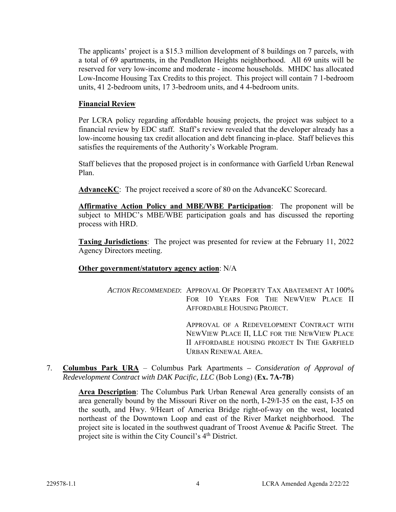The applicants' project is a \$15.3 million development of 8 buildings on 7 parcels, with a total of 69 apartments, in the Pendleton Heights neighborhood. All 69 units will be reserved for very low-income and moderate - income households. MHDC has allocated Low-Income Housing Tax Credits to this project. This project will contain 7 1-bedroom units, 41 2-bedroom units, 17 3-bedroom units, and 4 4-bedroom units.

# **Financial Review**

Per LCRA policy regarding affordable housing projects, the project was subject to a financial review by EDC staff. Staff's review revealed that the developer already has a low-income housing tax credit allocation and debt financing in-place. Staff believes this satisfies the requirements of the Authority's Workable Program.

Staff believes that the proposed project is in conformance with Garfield Urban Renewal Plan.

**AdvanceKC**: The project received a score of 80 on the AdvanceKC Scorecard.

**Affirmative Action Policy and MBE/WBE Participation**: The proponent will be subject to MHDC's MBE/WBE participation goals and has discussed the reporting process with HRD.

**Taxing Jurisdictions**: The project was presented for review at the February 11, 2022 Agency Directors meeting.

#### **Other government/statutory agency action**: N/A

*ACTION RECOMMENDED*: APPROVAL OF PROPERTY TAX ABATEMENT AT 100% FOR 10 YEARS FOR THE NEWVIEW PLACE II AFFORDABLE HOUSING PROJECT.

> APPROVAL OF A REDEVELOPMENT CONTRACT WITH NEWVIEW PLACE II, LLC FOR THE NEWVIEW PLACE II AFFORDABLE HOUSING PROJECT IN THE GARFIELD URBAN RENEWAL AREA.

7. **Columbus Park URA** – Columbus Park Apartments *– Consideration of Approval of Redevelopment Contract with DAK Pacific, LLC* (Bob Long) (**Ex. 7A-7B**)

> **Area Description**: The Columbus Park Urban Renewal Area generally consists of an area generally bound by the Missouri River on the north, I-29/I-35 on the east, I-35 on the south, and Hwy. 9/Heart of America Bridge right-of-way on the west, located northeast of the Downtown Loop and east of the River Market neighborhood. The project site is located in the southwest quadrant of Troost Avenue & Pacific Street. The project site is within the City Council's 4<sup>th</sup> District.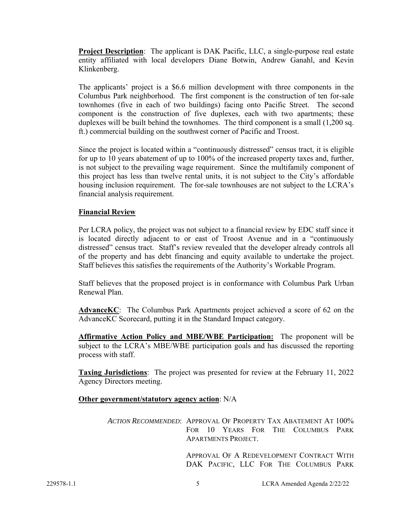**Project Description**: The applicant is DAK Pacific, LLC, a single-purpose real estate entity affiliated with local developers Diane Botwin, Andrew Ganahl, and Kevin Klinkenberg.

The applicants' project is a \$6.6 million development with three components in the Columbus Park neighborhood. The first component is the construction of ten for-sale townhomes (five in each of two buildings) facing onto Pacific Street. The second component is the construction of five duplexes, each with two apartments; these duplexes will be built behind the townhomes. The third component is a small (1,200 sq. ft.) commercial building on the southwest corner of Pacific and Troost.

Since the project is located within a "continuously distressed" census tract, it is eligible for up to 10 years abatement of up to 100% of the increased property taxes and, further, is not subject to the prevailing wage requirement. Since the multifamily component of this project has less than twelve rental units, it is not subject to the City's affordable housing inclusion requirement. The for-sale townhouses are not subject to the LCRA's financial analysis requirement.

### **Financial Review**

Per LCRA policy, the project was not subject to a financial review by EDC staff since it is located directly adjacent to or east of Troost Avenue and in a "continuously distressed" census tract. Staff's review revealed that the developer already controls all of the property and has debt financing and equity available to undertake the project. Staff believes this satisfies the requirements of the Authority's Workable Program.

Staff believes that the proposed project is in conformance with Columbus Park Urban Renewal Plan.

**AdvanceKC**: The Columbus Park Apartments project achieved a score of 62 on the AdvanceKC Scorecard, putting it in the Standard Impact category.

**Affirmative Action Policy and MBE/WBE Participation:** The proponent will be subject to the LCRA's MBE/WBE participation goals and has discussed the reporting process with staff.

**Taxing Jurisdictions**: The project was presented for review at the February 11, 2022 Agency Directors meeting.

**Other government/statutory agency action**: N/A

*ACTION RECOMMENDED*: APPROVAL OF PROPERTY TAX ABATEMENT AT 100% FOR 10 YEARS FOR THE COLUMBUS PARK APARTMENTS PROJECT.

> APPROVAL OF A REDEVELOPMENT CONTRACT WITH DAK PACIFIC, LLC FOR THE COLUMBUS PARK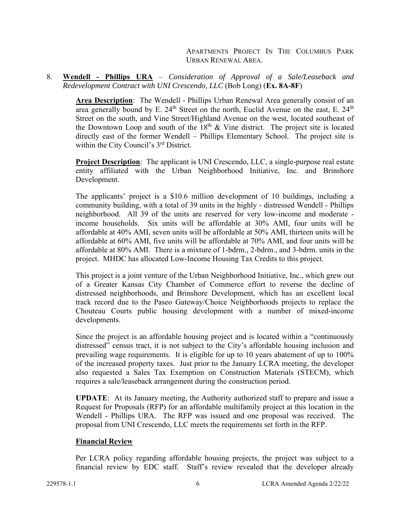APARTMENTS PROJECT IN THE COLUMBUS PARK URBAN RENEWAL AREA.

#### 8. **Wendell - Phillips URA** – *Consideration of Approval of a Sale/Leaseback and Redevelopment Contract with UNI Crescendo, LLC* (Bob Long) (**Ex. 8A-8F**)

**Area Description**: The Wendell - Phillips Urban Renewal Area generally consist of an area generally bound by E.  $24<sup>th</sup>$  Street on the north, Euclid Avenue on the east, E.  $24<sup>th</sup>$ Street on the south, and Vine Street/Highland Avenue on the west, located southeast of the Downtown Loop and south of the  $18<sup>th</sup>$  & Vine district. The project site is located directly east of the former Wendell – Phillips Elementary School. The project site is within the City Council's 3<sup>rd</sup> District.

**Project Description**: The applicant is UNI Crescendo, LLC, a single-purpose real estate entity affiliated with the Urban Neighborhood Initiative, Inc. and Brinshore Development.

The applicants' project is a \$10.6 million development of 10 buildings, including a community building, with a total of 39 units in the highly - distressed Wendell - Phillips neighborhood. All 39 of the units are reserved for very low-income and moderate income households. Six units will be affordable at 30% AMI, four units will be affordable at 40% AMI, seven units will be affordable at 50% AMI, thirteen units will be affordable at 60% AMI, five units will be affordable at 70% AMI, and four units will be affordable at 80% AMI. There is a mixture of 1-bdrm., 2-bdrm., and 3-bdrm. units in the project. MHDC has allocated Low-Income Housing Tax Credits to this project.

This project is a joint venture of the Urban Neighborhood Initiative, Inc., which grew out of a Greater Kansas City Chamber of Commerce effort to reverse the decline of distressed neighborhoods, and Brinshore Development, which has an excellent local track record due to the Paseo Gateway/Choice Neighborhoods projects to replace the Chouteau Courts public housing development with a number of mixed-income developments.

Since the project is an affordable housing project and is located within a "continuously distressed" census tract, it is not subject to the City's affordable housing inclusion and prevailing wage requirements. It is eligible for up to 10 years abatement of up to 100% of the increased property taxes. Just prior to the January LCRA meeting, the developer also requested a Sales Tax Exemption on Construction Materials (STECM), which requires a sale/leaseback arrangement during the construction period.

**UPDATE**: At its January meeting, the Authority authorized staff to prepare and issue a Request for Proposals (RFP) for an affordable multifamily project at this location in the Wendell - Phillips URA. The RFP was issued and one proposal was received. The proposal from UNI Crescendo, LLC meets the requirements set forth in the RFP.

#### **Financial Review**

Per LCRA policy regarding affordable housing projects, the project was subject to a financial review by EDC staff. Staff's review revealed that the developer already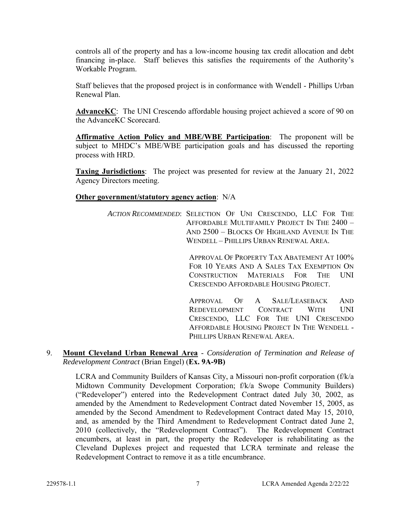controls all of the property and has a low-income housing tax credit allocation and debt financing in-place. Staff believes this satisfies the requirements of the Authority's Workable Program.

Staff believes that the proposed project is in conformance with Wendell - Phillips Urban Renewal Plan.

**AdvanceKC**: The UNI Crescendo affordable housing project achieved a score of 90 on the AdvanceKC Scorecard.

**Affirmative Action Policy and MBE/WBE Participation**: The proponent will be subject to MHDC's MBE/WBE participation goals and has discussed the reporting process with HRD.

**Taxing Jurisdictions**: The project was presented for review at the January 21, 2022 Agency Directors meeting.

#### **Other government/statutory agency action**: N/A

*ACTION RECOMMENDED*: SELECTION OF UNI CRESCENDO, LLC FOR THE AFFORDABLE MULTIFAMILY PROJECT IN THE 2400 – AND 2500 – BLOCKS OF HIGHLAND AVENUE IN THE WENDELL – PHILLIPS URBAN RENEWAL AREA.

> APPROVAL OF PROPERTY TAX ABATEMENT AT 100% FOR 10 YEARS AND A SALES TAX EXEMPTION ON CONSTRUCTION MATERIALS FOR THE UNI CRESCENDO AFFORDABLE HOUSING PROJECT.

> APPROVAL OF A SALE/LEASEBACK AND REDEVELOPMENT CONTRACT WITH UNI CRESCENDO, LLC FOR THE UNI CRESCENDO AFFORDABLE HOUSING PROJECT IN THE WENDELL - PHILLIPS URBAN RENEWAL AREA.

9. **Mount Cleveland Urban Renewal Area** - *Consideration of Termination and Release of Redevelopment Contract* (Brian Engel) (**Ex. 9A-9B)**

LCRA and Community Builders of Kansas City, a Missouri non-profit corporation (f/k/a Midtown Community Development Corporation; f/k/a Swope Community Builders) ("Redeveloper") entered into the Redevelopment Contract dated July 30, 2002, as amended by the Amendment to Redevelopment Contract dated November 15, 2005, as amended by the Second Amendment to Redevelopment Contract dated May 15, 2010, and, as amended by the Third Amendment to Redevelopment Contract dated June 2, 2010 (collectively, the "Redevelopment Contract"). The Redevelopment Contract encumbers, at least in part, the property the Redeveloper is rehabilitating as the Cleveland Duplexes project and requested that LCRA terminate and release the Redevelopment Contract to remove it as a title encumbrance.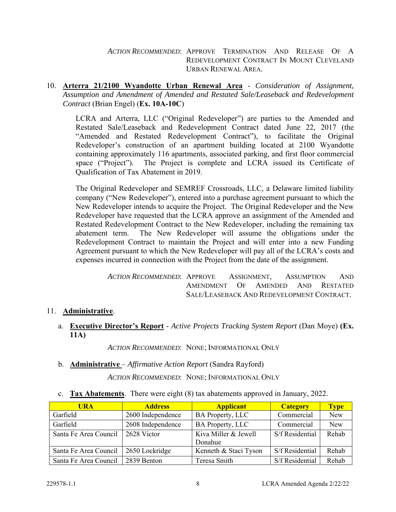*ACTION RECOMMENDED*: APPROVE TERMINATION AND RELEASE OF A REDEVELOPMENT CONTRACT IN MOUNT CLEVELAND URBAN RENEWAL AREA.

10. **Arterra 21/2100 Wyandotte Urban Renewal Area** - *Consideration of Assignment, Assumption and Amendment of Amended and Restated Sale/Leaseback and Redevelopment Contract* (Brian Engel) (**Ex. 10A-10C**)

LCRA and Arterra, LLC ("Original Redeveloper") are parties to the Amended and Restated Sale/Leaseback and Redevelopment Contract dated June 22, 2017 (the "Amended and Restated Redevelopment Contract"), to facilitate the Original Redeveloper's construction of an apartment building located at 2100 Wyandotte containing approximately 116 apartments, associated parking, and first floor commercial space ("Project"). The Project is complete and LCRA issued its Certificate of Qualification of Tax Abatement in 2019.

The Original Redeveloper and SEMREF Crossroads, LLC, a Delaware limited liability company ("New Redeveloper"), entered into a purchase agreement pursuant to which the New Redeveloper intends to acquire the Project. The Original Redeveloper and the New Redeveloper have requested that the LCRA approve an assignment of the Amended and Restated Redevelopment Contract to the New Redeveloper, including the remaining tax abatement term. The New Redeveloper will assume the obligations under the Redevelopment Contract to maintain the Project and will enter into a new Funding Agreement pursuant to which the New Redeveloper will pay all of the LCRA's costs and expenses incurred in connection with the Project from the date of the assignment.

> *ACTION RECOMMENDED*: APPROVE ASSIGNMENT, ASSUMPTION AND AMENDMENT OF AMENDED AND RESTATED SALE/LEASEBACK AND REDEVELOPMENT CONTRACT.

# 11. **Administrative**.

# a. **Executive Director's Report** - *Active Projects Tracking System Report* (Dan Moye) **(Ex. 11A)**

*ACTION RECOMMENDED*: NONE; INFORMATIONAL ONLY

b. **Administrative** – *Affirmative Action Report* (Sandra Rayford)

*ACTION RECOMMENDED*: NONE; INFORMATIONAL ONLY

c. **Tax Abatements**. There were eight (8) tax abatements approved in January, 2022.

| <b>URA</b>            | <b>Address</b>    | <b>Applicant</b>      | <b>Category</b> | <b>Type</b> |
|-----------------------|-------------------|-----------------------|-----------------|-------------|
| Garfield              | 2600 Independence | BA Property, LLC      | Commercial      | <b>New</b>  |
| Garfield              | 2608 Independence | BA Property, LLC      | Commercial      | <b>New</b>  |
| Santa Fe Area Council | 2628 Victor       | Kiva Miller & Jewell  | S/f Residential | Rehab       |
|                       |                   | Donahue               |                 |             |
| Santa Fe Area Council | 2650 Lockridge    | Kenneth & Staci Tyson | S/f Residential | Rehab       |
| Santa Fe Area Council | 2839 Benton       | Teresa Smith          | S/f Residential | Rehab       |